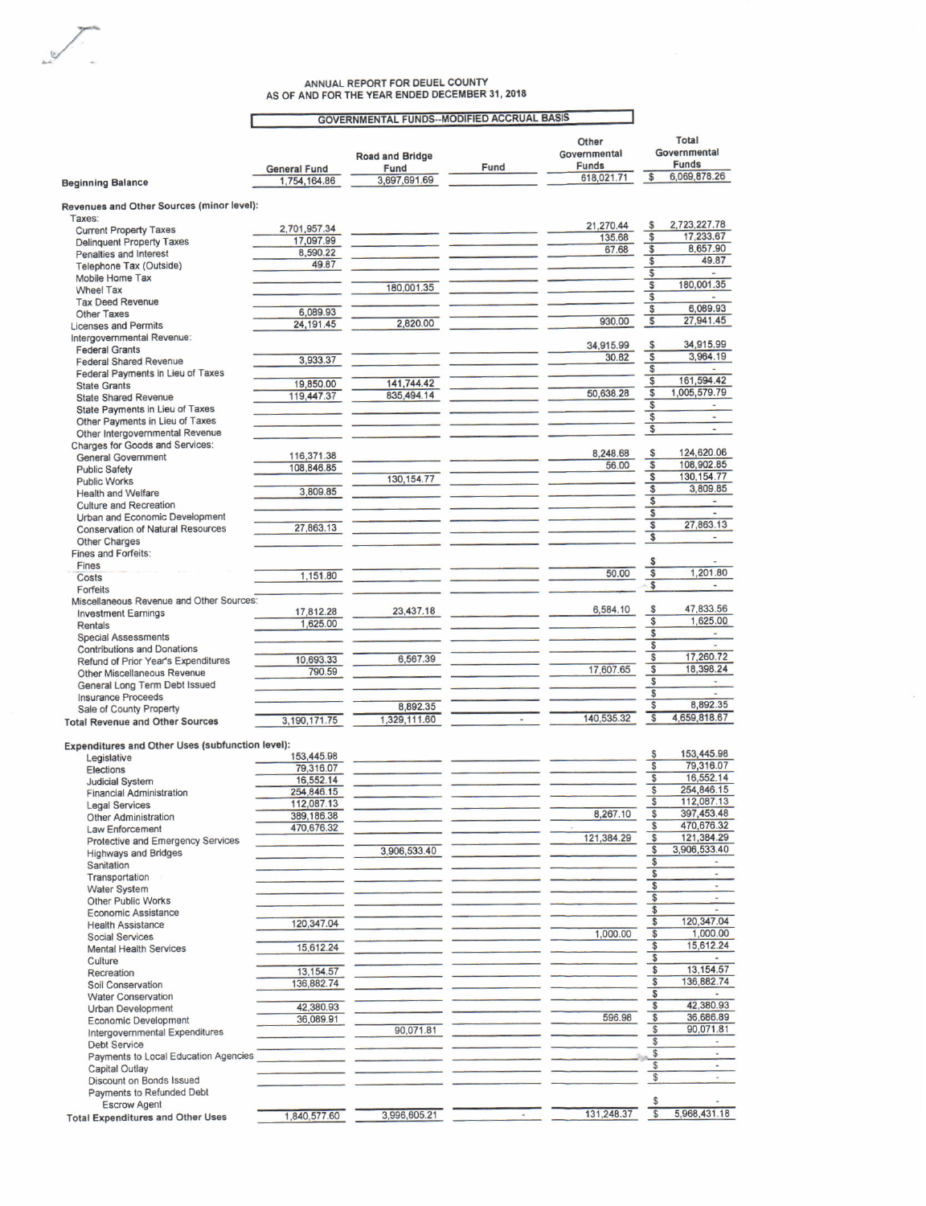## ANNUAL REPORT FOR DEUEL COUNTY<br>AS OF AND FOR THE YEAR ENDED DECEMBER 31, 2018

Г

## **GOVERNMENTAL FUNDS--MODIFIED ACCRUAL BASIS**

|                                                                |                     |                        |      | Other                      | Total                                         |
|----------------------------------------------------------------|---------------------|------------------------|------|----------------------------|-----------------------------------------------|
|                                                                |                     | <b>Road and Bridge</b> |      | Governmental               | Governmental                                  |
|                                                                | <b>General Fund</b> | Fund                   | Fund | <b>Funds</b><br>618,021.71 | <b>Funds</b><br>6,069,878.26<br>$\frac{1}{2}$ |
| <b>Beginning Balance</b>                                       | 1,754,164.86        | 3,697,691.69           |      |                            |                                               |
|                                                                |                     |                        |      |                            |                                               |
| Revenues and Other Sources (minor level):<br>Taxes:            |                     |                        |      |                            |                                               |
| <b>Current Property Taxes</b>                                  | 2,701,957.34        |                        |      | 21,270.44                  | 2,723,227.78<br>\$                            |
| <b>Delinquent Property Taxes</b>                               | 17,097.99           |                        |      | 135.68                     | 17,233.67<br>\$                               |
| Penalties and Interest                                         | 8,590.22            |                        |      | 67.68                      | 8,657.90<br>\$                                |
| Telephone Tax (Outside)                                        | 49.87               |                        |      |                            | 49.87<br>S                                    |
| Mobile Home Tax                                                |                     |                        |      |                            | \$<br>$\overline{a}$                          |
| <b>Wheel Tax</b>                                               |                     | 180,001.35             |      |                            | 180,001.35<br>S                               |
| <b>Tax Deed Revenue</b>                                        |                     |                        |      |                            | \$                                            |
| <b>Other Taxes</b>                                             | 6,089.93            |                        |      |                            | 6,089.93<br>\$                                |
| <b>Licenses and Permits</b>                                    | 24, 191.45          | 2,820.00               |      | 930.00                     | $\overline{\mathbb{S}}$<br>27,941.45          |
| Intergovernmental Revenue:                                     |                     |                        |      |                            |                                               |
| <b>Federal Grants</b>                                          |                     |                        |      | 34,915.99                  | 34,915.99<br>\$                               |
| <b>Federal Shared Revenue</b>                                  | 3,933.37            |                        |      | 30.82                      | 3,964.19<br>\$                                |
| Federal Payments in Lieu of Taxes                              |                     |                        |      |                            | \$                                            |
|                                                                | 19,850.00           | 141,744.42             |      |                            | S<br>161,594.42                               |
| <b>State Grants</b>                                            | 119,447.37          | 835,494.14             |      | 50,638.28                  | 1,005,579.79<br>\$                            |
| <b>State Shared Revenue</b><br>State Payments in Lieu of Taxes |                     |                        |      |                            | \$<br>$\blacksquare$                          |
|                                                                |                     |                        |      |                            | $\overline{\mathbb{S}}$<br>٠                  |
| Other Payments in Lieu of Taxes                                |                     |                        |      |                            | \$<br>$\blacksquare$                          |
| Other Intergovernmental Revenue                                |                     |                        |      |                            |                                               |
| <b>Charges for Goods and Services:</b>                         | 116,371.38          |                        |      | 8,248.68                   | 124,620.06<br>S                               |
| <b>General Government</b>                                      | 108,846.85          |                        |      | 56.00                      | S<br>108,902.85                               |
| <b>Public Safety</b>                                           |                     | 130, 154.77            |      |                            | 130, 154.77<br>\$                             |
| <b>Public Works</b>                                            |                     |                        |      |                            | \$<br>3,809.85                                |
| <b>Health and Welfare</b>                                      | 3,809.85            |                        |      |                            | $\overline{\mathcal{S}}$                      |
| <b>Culture and Recreation</b>                                  |                     |                        |      |                            | S                                             |
| Urban and Economic Development                                 |                     |                        |      |                            | 27,863.13<br>S                                |
| <b>Conservation of Natural Resources</b>                       | 27,863.13           |                        |      |                            | \$                                            |
| Other Charges                                                  |                     |                        |      |                            |                                               |
| <b>Fines and Forfeits:</b>                                     |                     |                        |      |                            |                                               |
| Fines                                                          |                     |                        |      |                            | \$                                            |
| Costs                                                          | 1,151.80            |                        |      | 50.00                      | $\overline{\mathsf{s}}$<br>1,201.80           |
| Forfeits                                                       |                     |                        |      |                            | \$<br>$\overline{\phantom{a}}$                |
| Miscellaneous Revenue and Other Sources:                       |                     |                        |      |                            |                                               |
| <b>Investment Earnings</b>                                     | 17,812.28           | 23,437.18              |      | 6,584.10                   | 47,833.56<br>S                                |
| <b>Rentals</b>                                                 | 1,625.00            |                        |      |                            | $\overline{\mathcal{S}}$<br>1,625.00          |
| <b>Special Assessments</b>                                     |                     |                        |      |                            | \$                                            |
| <b>Contributions and Donations</b>                             |                     |                        |      |                            | \$                                            |
| Refund of Prior Year's Expenditures                            | 10,693.33           | 6,567.39               |      |                            | 17,260.72<br>\$                               |
| Other Miscellaneous Revenue                                    | 790.59              |                        |      | 17,607.65                  | 18,398.24<br>$\sqrt{3}$                       |
| General Long Term Debt Issued                                  |                     |                        |      |                            | \$                                            |
| <b>Insurance Proceeds</b>                                      |                     |                        |      |                            | \$                                            |
| Sale of County Property                                        |                     | 8,892.35               |      |                            | 8,892.35<br>\$                                |
| <b>Total Revenue and Other Sources</b>                         | 3,190,171.75        | 1,329,111.60           |      | 140,535.32                 | $\overline{\$}$<br>4,659,818.67               |
|                                                                |                     |                        |      |                            |                                               |
| Expenditures and Other Uses (subfunction level):               |                     |                        |      |                            |                                               |
| Legislative                                                    | 153,445.98          |                        |      |                            | 153,445.98<br>s                               |
| <b>Elections</b>                                               | 79,316.07           |                        |      |                            | 79,316.07<br>\$                               |
| <b>Judicial System</b>                                         | 16,552.14           |                        |      |                            | 16,552.14<br>\$                               |
| <b>Financial Administration</b>                                | 254,846.15          |                        |      |                            | \$<br>254,846.15                              |
|                                                                | 112,087.13          |                        |      |                            | $\overline{\mathcal{S}}$<br>112,087.13        |
| <b>Legal Services</b>                                          | 389,186.38          |                        |      | 8,267.10                   | \$<br>397,453.48                              |
| <b>Other Administration</b>                                    | 470,676.32          |                        |      |                            | 470,676.32<br>\$                              |
| Law Enforcement                                                |                     |                        |      | 121,384.29                 | 121,384.29<br>S                               |
| Protective and Emergency Services                              |                     | 3,906,533.40           |      |                            | $$\mathbb{S}$$<br>3,906,533.40                |
| <b>Highways and Bridges</b>                                    |                     |                        |      |                            | \$                                            |
| Sanitation                                                     |                     |                        |      |                            | \$<br>$\overline{\phantom{a}}$                |
| Transportation                                                 |                     |                        |      |                            | S<br>$\frac{1}{2}$                            |
| <b>Water System</b>                                            |                     |                        |      |                            | \$<br>$\overline{a}$                          |
| Other Public Works                                             |                     |                        |      |                            | $\overline{\mathbb{S}}$<br>٠                  |
| <b>Economic Assistance</b>                                     |                     |                        |      |                            | 120,347.04                                    |
| <b>Health Assistance</b>                                       | 120,347.04          |                        |      |                            | \$                                            |
| <b>Social Services</b>                                         |                     |                        |      | 1,000.00                   | S<br>1,000.00                                 |
| <b>Mental Health Services</b>                                  | 15,612.24           |                        |      |                            | 15,612.24<br>\$                               |
| Culture                                                        |                     |                        |      |                            | \$                                            |
| Recreation                                                     | 13,154.57           |                        |      |                            | \$<br>13.154.57                               |
| Soil Conservation                                              | 136,882.74          |                        |      |                            | 136,882.74<br>\$                              |
| <b>Water Conservation</b>                                      |                     |                        |      |                            | \$                                            |
| Urban Development                                              | 42,380.93           |                        |      |                            | 42,380.93<br>\$                               |
| <b>Economic Development</b>                                    | 36,089.91           |                        |      | 596.98                     | \$<br>36,686.89                               |
| Intergovernmental Expenditures                                 |                     | 90,071.81              |      |                            | $\sqrt{3}$<br>90,071.81                       |
| <b>Debt Service</b>                                            |                     |                        |      |                            | $\sqrt{3}$                                    |
| Payments to Local Education Agencies                           |                     |                        |      |                            | $\sqrt[6]{3}$<br>$\tilde{a}$                  |
| <b>Capital Outlay</b>                                          |                     |                        |      |                            | \$<br>÷                                       |
| Discount on Bonds Issued                                       |                     |                        |      |                            | $\mathbb{S}$                                  |
| Payments to Refunded Debt                                      |                     |                        |      |                            |                                               |
| <b>Escrow Agent</b>                                            |                     |                        |      |                            | \$                                            |
| <b>Total Expenditures and Other Uses</b>                       | 1,840,577.60        | 3,996,605.21           |      | 131,248.37                 | $\overline{\mathbb{S}}$<br>5,968,431.18       |